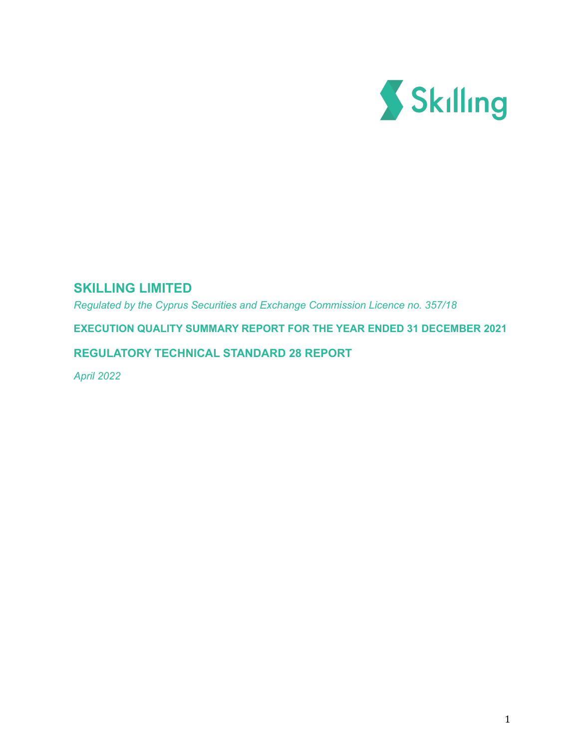

# **SKILLING LIMITED**

*Regulated by the Cyprus Securities and Exchange Commission Licence no. 357/18*

**EXECUTION QUALITY SUMMARY REPORT FOR THE YEAR ENDED 31 DECEMBER 2021**

# **REGULATORY TECHNICAL STANDARD 28 REPORT**

*April 2022*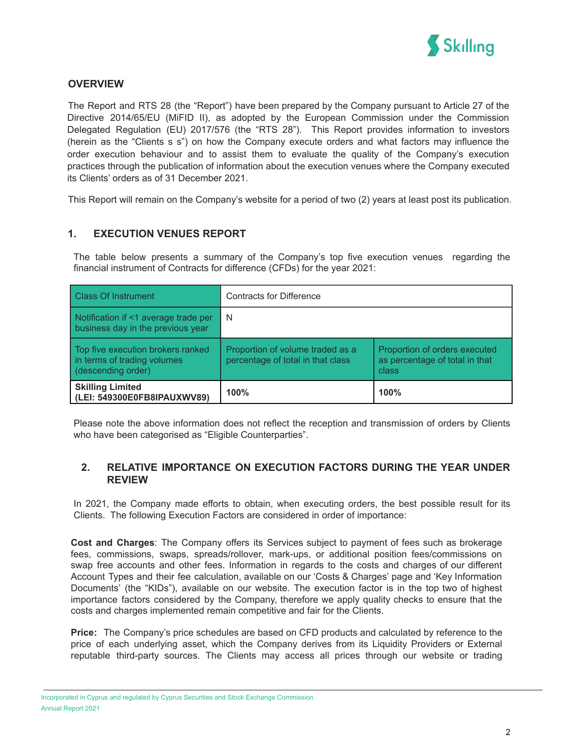

## **OVERVIEW**

The Report and RTS 28 (the "Report") have been prepared by the Company pursuant to Article 27 of the Directive 2014/65/EU (MiFID II), as adopted by the European Commission under the Commission Delegated Regulation (EU) 2017/576 (the "RTS 28"). This Report provides information to investors (herein as the "Clients s s") on how the Company execute orders and what factors may influence the order execution behaviour and to assist them to evaluate the quality of the Company's execution practices through the publication of information about the execution venues where the Company executed its Clients' orders as of 31 December 2021.

This Report will remain on the Company's website for a period of two (2) years at least post its publication.

## **1. EXECUTION VENUES REPORT**

The table below presents a summary of the Company's top five execution venues regarding the financial instrument of Contracts for difference (CFDs) for the year 2021:

| <b>Class Of Instrument</b>                                                             | <b>Contracts for Difference</b>                                       |                                                                          |
|----------------------------------------------------------------------------------------|-----------------------------------------------------------------------|--------------------------------------------------------------------------|
| Notification if <1 average trade per<br>business day in the previous year              | -N                                                                    |                                                                          |
| Top five execution brokers ranked<br>in terms of trading volumes<br>(descending order) | Proportion of volume traded as a<br>percentage of total in that class | Proportion of orders executed<br>as percentage of total in that<br>class |
| <b>Skilling Limited</b><br>(LEI: 549300E0FB8IPAUXWV89)                                 | 100%                                                                  | 100%                                                                     |

Please note the above information does not reflect the reception and transmission of orders by Clients who have been categorised as "Eligible Counterparties".

### **2. RELATIVE IMPORTANCE ON EXECUTION FACTORS DURING THE YEAR UNDER REVIEW**

In 2021, the Company made efforts to obtain, when executing orders, the best possible result for its Clients. The following Execution Factors are considered in order of importance:

**Cost and Charges**: The Company offers its Services subject to payment of fees such as brokerage fees, commissions, swaps, spreads/rollover, mark-ups, or additional position fees/commissions on swap free accounts and other fees. Information in regards to the costs and charges of our different Account Types and their fee calculation, available on our 'Costs & Charges' page and 'Key Information Documents' (the "KIDs"), available on our website. The execution factor is in the top two of highest importance factors considered by the Company, therefore we apply quality checks to ensure that the costs and charges implemented remain competitive and fair for the Clients.

**Price:** The Company's price schedules are based on CFD products and calculated by reference to the price of each underlying asset, which the Company derives from its Liquidity Providers or External reputable third-party sources. The Clients may access all prices through our website or trading

Incorporated in Cyprus and regulated by Cyprus Securities and Stock Exchange Commission Annual Report 2021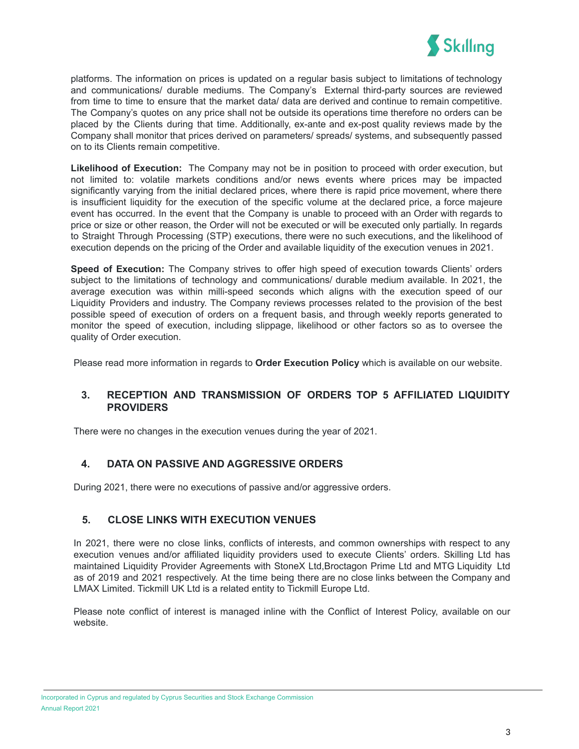

platforms. The information on prices is updated on a regular basis subject to limitations of technology and communications/ durable mediums. The Company's External third-party sources are reviewed from time to time to ensure that the market data/ data are derived and continue to remain competitive. The Company's quotes on any price shall not be outside its operations time therefore no orders can be placed by the Clients during that time. Additionally, ex-ante and ex-post quality reviews made by the Company shall monitor that prices derived on parameters/ spreads/ systems, and subsequently passed on to its Clients remain competitive.

**Likelihood of Execution:** The Company may not be in position to proceed with order execution, but not limited to: volatile markets conditions and/or news events where prices may be impacted significantly varying from the initial declared prices, where there is rapid price movement, where there is insufficient liquidity for the execution of the specific volume at the declared price, a force majeure event has occurred. In the event that the Company is unable to proceed with an Order with regards to price or size or other reason, the Order will not be executed or will be executed only partially. In regards to Straight Through Processing (STP) executions, there were no such executions, and the likelihood of execution depends on the pricing of the Order and available liquidity of the execution venues in 2021.

**Speed of Execution:** The Company strives to offer high speed of execution towards Clients' orders subject to the limitations of technology and communications/ durable medium available. In 2021, the average execution was within milli-speed seconds which aligns with the execution speed of our Liquidity Providers and industry. The Company reviews processes related to the provision of the best possible speed of execution of orders on a frequent basis, and through weekly reports generated to monitor the speed of execution, including slippage, likelihood or other factors so as to oversee the quality of Order execution.

Please read more information in regards to **Order [Execution](https://support.skilling.com/hc/en-gb/articles/115004865873-Order-Execution-Policy) Policy** which is available on our website.

## **3. RECEPTION AND TRANSMISSION OF ORDERS TOP 5 AFFILIATED LIQUIDITY PROVIDERS**

There were no changes in the execution venues during the year of 2021.

## **4. DATA ON PASSIVE AND AGGRESSIVE ORDERS**

During 2021, there were no executions of passive and/or aggressive orders.

## **5. CLOSE LINKS WITH EXECUTION VENUES**

In 2021, there were no close links, conflicts of interests, and common ownerships with respect to any execution venues and/or affiliated liquidity providers used to execute Clients' orders. Skilling Ltd has maintained Liquidity Provider Agreements with StoneX Ltd,Broctagon Prime Ltd and MTG Liquidity Ltd as of 2019 and 2021 respectively. At the time being there are no close links between the Company and LMAX Limited. Tickmill UK Ltd is a related entity to Tickmill Europe Ltd.

Please note conflict of interest is managed inline with the Conflict of Interest Policy, available on our website[.](https://support.skilling.com/hc/en-gb/sections/115001000253-Legal-documents?_ga=2.54187752.1977504439.1558441060-1803061687.1518185038)

Incorporated in Cyprus and regulated by Cyprus Securities and Stock Exchange Commission Annual Report 2021